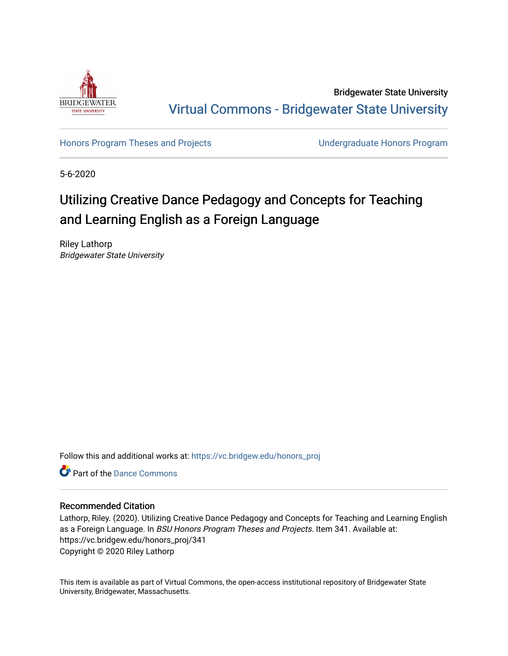

Bridgewater State University [Virtual Commons - Bridgewater State University](https://vc.bridgew.edu/) 

[Honors Program Theses and Projects](https://vc.bridgew.edu/honors_proj) [Undergraduate Honors Program](https://vc.bridgew.edu/honors) 

5-6-2020

# Utilizing Creative Dance Pedagogy and Concepts for Teaching and Learning English as a Foreign Language

Riley Lathorp Bridgewater State University

Follow this and additional works at: [https://vc.bridgew.edu/honors\\_proj](https://vc.bridgew.edu/honors_proj?utm_source=vc.bridgew.edu%2Fhonors_proj%2F341&utm_medium=PDF&utm_campaign=PDFCoverPages)

**Part of the Dance Commons** 

# Recommended Citation

Lathorp, Riley. (2020). Utilizing Creative Dance Pedagogy and Concepts for Teaching and Learning English as a Foreign Language. In BSU Honors Program Theses and Projects. Item 341. Available at: https://vc.bridgew.edu/honors\_proj/341 Copyright © 2020 Riley Lathorp

This item is available as part of Virtual Commons, the open-access institutional repository of Bridgewater State University, Bridgewater, Massachusetts.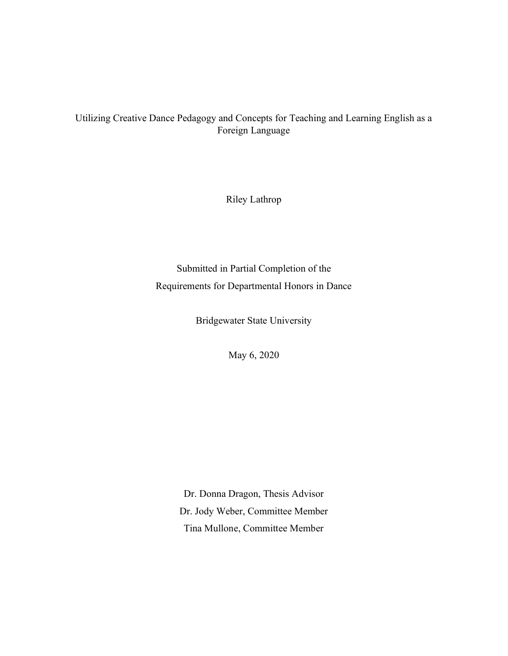# Utilizing Creative Dance Pedagogy and Concepts for Teaching and Learning English as a Foreign Language

Riley Lathrop

Submitted in Partial Completion of the Requirements for Departmental Honors in Dance

Bridgewater State University

May 6, 2020

Dr. Donna Dragon, Thesis Advisor Dr. Jody Weber, Committee Member Tina Mullone, Committee Member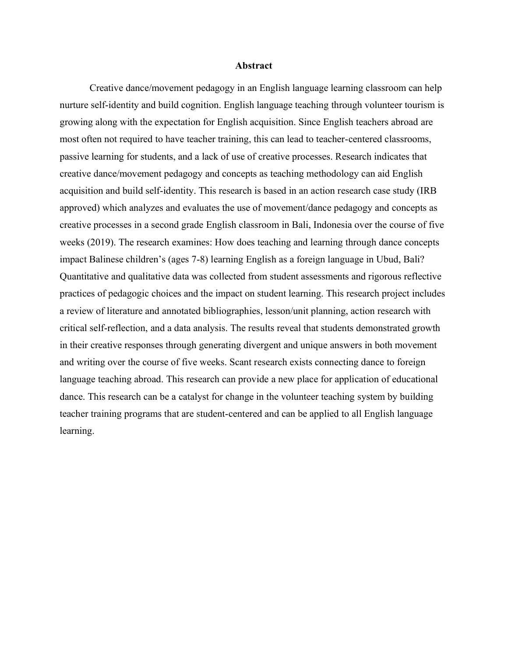#### **Abstract**

Creative dance/movement pedagogy in an English language learning classroom can help nurture self-identity and build cognition. English language teaching through volunteer tourism is growing along with the expectation for English acquisition. Since English teachers abroad are most often not required to have teacher training, this can lead to teacher-centered classrooms, passive learning for students, and a lack of use of creative processes. Research indicates that creative dance/movement pedagogy and concepts as teaching methodology can aid English acquisition and build self-identity. This research is based in an action research case study (IRB approved) which analyzes and evaluates the use of movement/dance pedagogy and concepts as creative processes in a second grade English classroom in Bali, Indonesia over the course of five weeks (2019). The research examines: How does teaching and learning through dance concepts impact Balinese children's (ages 7-8) learning English as a foreign language in Ubud, Bali? Quantitative and qualitative data was collected from student assessments and rigorous reflective practices of pedagogic choices and the impact on student learning. This research project includes a review of literature and annotated bibliographies, lesson/unit planning, action research with critical self-reflection, and a data analysis. The results reveal that students demonstrated growth in their creative responses through generating divergent and unique answers in both movement and writing over the course of five weeks. Scant research exists connecting dance to foreign language teaching abroad. This research can provide a new place for application of educational dance. This research can be a catalyst for change in the volunteer teaching system by building teacher training programs that are student-centered and can be applied to all English language learning.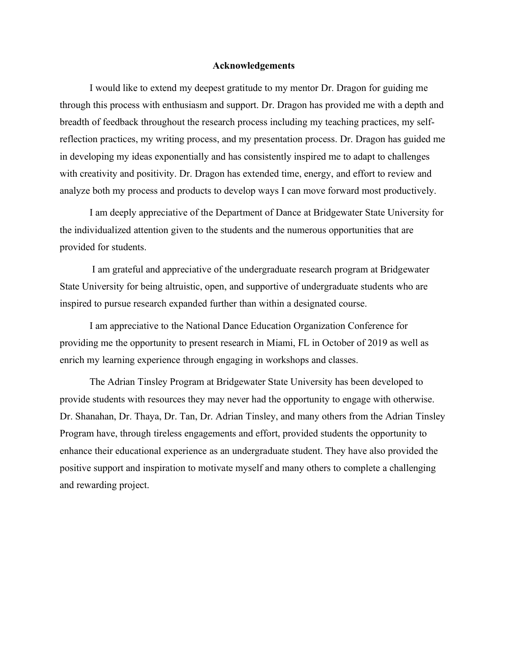#### **Acknowledgements**

I would like to extend my deepest gratitude to my mentor Dr. Dragon for guiding me through this process with enthusiasm and support. Dr. Dragon has provided me with a depth and breadth of feedback throughout the research process including my teaching practices, my selfreflection practices, my writing process, and my presentation process. Dr. Dragon has guided me in developing my ideas exponentially and has consistently inspired me to adapt to challenges with creativity and positivity. Dr. Dragon has extended time, energy, and effort to review and analyze both my process and products to develop ways I can move forward most productively.

I am deeply appreciative of the Department of Dance at Bridgewater State University for the individualized attention given to the students and the numerous opportunities that are provided for students.

I am grateful and appreciative of the undergraduate research program at Bridgewater State University for being altruistic, open, and supportive of undergraduate students who are inspired to pursue research expanded further than within a designated course.

I am appreciative to the National Dance Education Organization Conference for providing me the opportunity to present research in Miami, FL in October of 2019 as well as enrich my learning experience through engaging in workshops and classes.

The Adrian Tinsley Program at Bridgewater State University has been developed to provide students with resources they may never had the opportunity to engage with otherwise. Dr. Shanahan, Dr. Thaya, Dr. Tan, Dr. Adrian Tinsley, and many others from the Adrian Tinsley Program have, through tireless engagements and effort, provided students the opportunity to enhance their educational experience as an undergraduate student. They have also provided the positive support and inspiration to motivate myself and many others to complete a challenging and rewarding project.